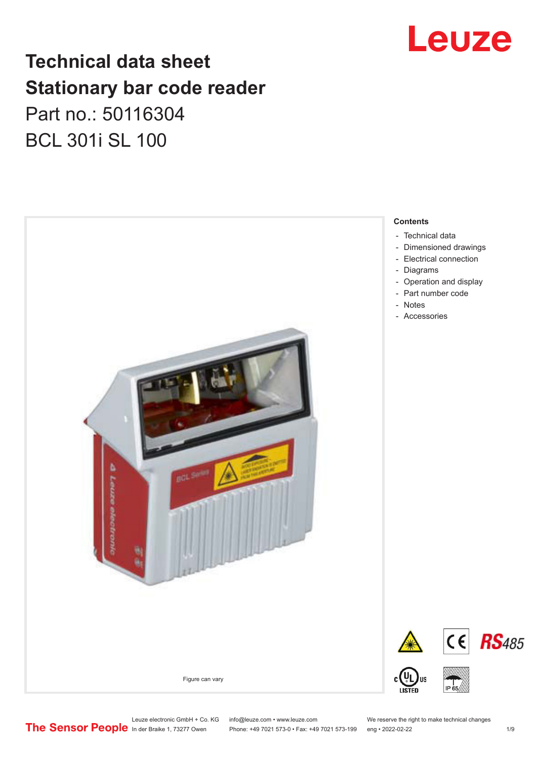

# **Technical data sheet Stationary bar code reader** Part no.: 50116304 BCL 301i SL 100



Leuze electronic GmbH + Co. KG info@leuze.com • www.leuze.com We reserve the right to make technical changes<br>
The Sensor People in der Braike 1, 73277 Owen Phone: +49 7021 573-0 • Fax: +49 7021 573-199 eng • 2022-02-22

Phone: +49 7021 573-0 • Fax: +49 7021 573-199 eng • 2022-02-22 1 /9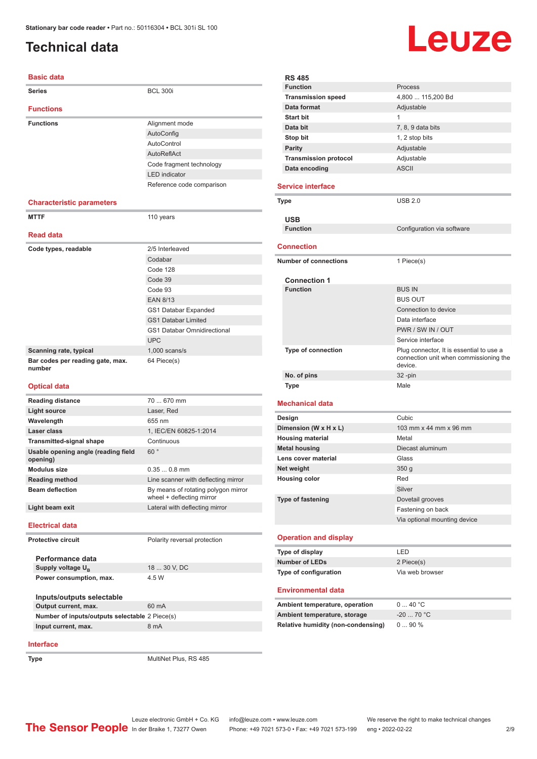## <span id="page-1-0"></span>**Technical data**

#### **Basic data**

| <b>Series</b>                              | <b>BCL 300i</b>                    |  |
|--------------------------------------------|------------------------------------|--|
| <b>Functions</b>                           |                                    |  |
| <b>Functions</b>                           | Alignment mode                     |  |
|                                            | AutoConfig                         |  |
|                                            | AutoControl                        |  |
|                                            | AutoReflAct                        |  |
|                                            | Code fragment technology           |  |
|                                            | <b>LED</b> indicator               |  |
|                                            | Reference code comparison          |  |
|                                            |                                    |  |
| <b>Characteristic parameters</b>           |                                    |  |
| <b>MTTF</b>                                | 110 years                          |  |
| <b>Read data</b>                           |                                    |  |
| Code types, readable                       | 2/5 Interleaved                    |  |
|                                            | Codabar                            |  |
|                                            | Code 128                           |  |
|                                            | Code 39                            |  |
|                                            | Code 93                            |  |
|                                            | <b>EAN 8/13</b>                    |  |
|                                            | GS1 Databar Expanded               |  |
|                                            | <b>GS1 Databar Limited</b>         |  |
|                                            | <b>GS1 Databar Omnidirectional</b> |  |
|                                            | <b>UPC</b>                         |  |
| Scanning rate, typical                     | $1,000$ scans/s                    |  |
| Bar codes per reading gate, max.<br>number | 64 Piece(s)                        |  |

#### **Optical data**

| <b>Reading distance</b>                           | 70 670 mm                                                        |  |
|---------------------------------------------------|------------------------------------------------------------------|--|
| <b>Light source</b>                               | Laser, Red                                                       |  |
| Wavelength                                        | 655 nm                                                           |  |
| Laser class                                       | 1, IEC/EN 60825-1:2014                                           |  |
| <b>Transmitted-signal shape</b>                   | Continuous                                                       |  |
| Usable opening angle (reading field<br>opening)   | 60°                                                              |  |
| Modulus size                                      | $0.350.8$ mm                                                     |  |
| <b>Reading method</b>                             | Line scanner with deflecting mirror                              |  |
| <b>Beam deflection</b>                            | By means of rotating polygon mirror<br>wheel + deflecting mirror |  |
|                                                   | Lateral with deflecting mirror                                   |  |
| Light beam exit                                   |                                                                  |  |
| <b>Electrical data</b>                            |                                                                  |  |
| Protective circuit                                | Polarity reversal protection                                     |  |
|                                                   |                                                                  |  |
| Performance data<br>Supply voltage U <sub>p</sub> | 18  30 V. DC                                                     |  |
| Power consumption, max.                           | 4.5 W                                                            |  |
| Inputs/outputs selectable                         |                                                                  |  |
| Output current, max.                              | $60 \text{ mA}$                                                  |  |
| Number of inputs/outputs selectable 2 Piece(s)    |                                                                  |  |
| Input current, max.                               | 8 mA                                                             |  |

#### **Interface**

**Type** MultiNet Plus, RS 485

# Leuze

| <b>RS 485</b>                          |                                                                                               |
|----------------------------------------|-----------------------------------------------------------------------------------------------|
| <b>Function</b>                        | Process                                                                                       |
| <b>Transmission speed</b>              | 4,800  115,200 Bd                                                                             |
| Data format                            | Adjustable                                                                                    |
| <b>Start bit</b>                       | 1                                                                                             |
| Data bit                               | 7, 8, 9 data bits                                                                             |
| Stop bit                               | 1, 2 stop bits                                                                                |
| <b>Parity</b>                          | Adjustable                                                                                    |
| <b>Transmission protocol</b>           | Adjustable                                                                                    |
| Data encoding                          | <b>ASCII</b>                                                                                  |
| <b>Service interface</b>               |                                                                                               |
| <b>Type</b>                            | <b>USB 2.0</b>                                                                                |
| <b>USB</b>                             |                                                                                               |
| <b>Function</b>                        | Configuration via software                                                                    |
|                                        |                                                                                               |
| <b>Connection</b>                      |                                                                                               |
| <b>Number of connections</b>           | 1 Piece(s)                                                                                    |
|                                        |                                                                                               |
| <b>Connection 1</b><br><b>Function</b> |                                                                                               |
|                                        | <b>BUS IN</b><br><b>BUS OUT</b>                                                               |
|                                        | Connection to device                                                                          |
|                                        | Data interface                                                                                |
|                                        | PWR / SW IN / OUT                                                                             |
|                                        | Service interface                                                                             |
| Type of connection                     | Plug connector, It is essential to use a<br>connection unit when commissioning the<br>device. |
| No. of pins                            | $32 - pin$                                                                                    |
| Type                                   | Male                                                                                          |
|                                        |                                                                                               |
| <b>Mechanical data</b>                 |                                                                                               |
| Design                                 | Cubic                                                                                         |
|                                        |                                                                                               |
| Dimension (W x H x L)                  | 103 mm x 44 mm x 96 mm                                                                        |
| <b>Housing material</b>                | Metal                                                                                         |
| <b>Metal housing</b>                   | Diecast aluminum                                                                              |
| Lens cover material                    | Glass                                                                                         |
| Net weight                             | 350 <sub>g</sub>                                                                              |
| <b>Housing color</b>                   | Red                                                                                           |
|                                        | Silver                                                                                        |
| Type of fastening                      | Dovetail grooves                                                                              |
|                                        | Fastening on back                                                                             |
|                                        | Via optional mounting device                                                                  |
| <b>Operation and display</b>           |                                                                                               |
| Type of display                        | LED                                                                                           |
| <b>Number of LEDs</b>                  | 2 Piece(s)                                                                                    |
| Type of configuration                  | Via web browser                                                                               |
| <b>Environmental data</b>              |                                                                                               |
| Ambient temperature, operation         | 040 °C                                                                                        |
| Ambient temperature, storage           | $-20$ 70 °C                                                                                   |
| Relative humidity (non-condensing)     | 090%                                                                                          |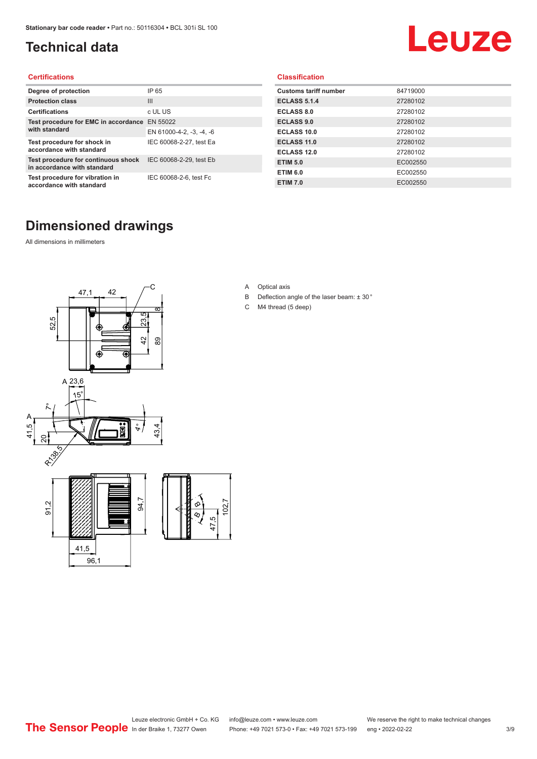# <span id="page-2-0"></span>**Technical data**

# Leuze

#### **Certifications**

| Degree of protection                                               | IP 65                    |
|--------------------------------------------------------------------|--------------------------|
| <b>Protection class</b>                                            | Ш                        |
| <b>Certifications</b>                                              | c UL US                  |
| Test procedure for EMC in accordance EN 55022                      |                          |
| with standard                                                      | EN 61000-4-2, -3, -4, -6 |
| Test procedure for shock in<br>accordance with standard            | IEC 60068-2-27, test Ea  |
| Test procedure for continuous shock<br>in accordance with standard | IEC 60068-2-29, test Eb  |
| Test procedure for vibration in<br>accordance with standard        | IEC 60068-2-6, test Fc   |

#### **Classification**

| <b>Customs tariff number</b> | 84719000 |
|------------------------------|----------|
| <b>ECLASS 5.1.4</b>          | 27280102 |
| <b>ECLASS 8.0</b>            | 27280102 |
| <b>ECLASS 9.0</b>            | 27280102 |
| ECLASS 10.0                  | 27280102 |
| <b>ECLASS 11.0</b>           | 27280102 |
| ECLASS 12.0                  | 27280102 |
| <b>ETIM 5.0</b>              | EC002550 |
| <b>ETIM 6.0</b>              | EC002550 |
| <b>ETIM 7.0</b>              | EC002550 |

## **Dimensioned drawings**

All dimensions in millimeters



#### A Optical axis

- B Deflection angle of the laser beam: ± 30 °
- C M4 thread (5 deep)

 $\overline{2}$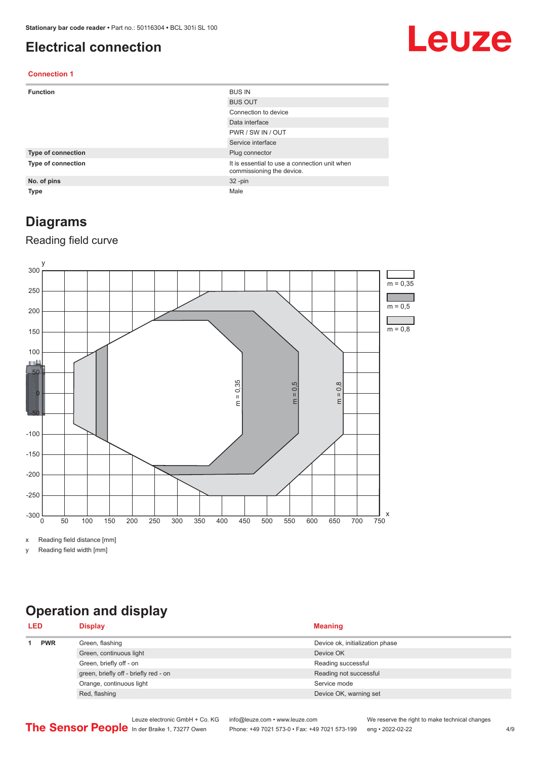### <span id="page-3-0"></span>**Electrical connection**

# Leuze

#### **Connection 1**

| <b>Function</b>    | <b>BUS IN</b>                                                              |
|--------------------|----------------------------------------------------------------------------|
|                    | <b>BUS OUT</b>                                                             |
|                    | Connection to device                                                       |
|                    | Data interface                                                             |
|                    | PWR / SW IN / OUT                                                          |
|                    | Service interface                                                          |
| Type of connection | Plug connector                                                             |
| Type of connection | It is essential to use a connection unit when<br>commissioning the device. |
| No. of pins        | $32 - pin$                                                                 |
| <b>Type</b>        | Male                                                                       |

### **Diagrams**

#### Reading field curve



x Reading field distance [mm]

y Reading field width [mm]

# **Operation and display**

| <b>LED</b> |            | <b>Display</b>                        | <b>Meaning</b>                  |
|------------|------------|---------------------------------------|---------------------------------|
|            | <b>PWR</b> | Green, flashing                       | Device ok, initialization phase |
|            |            | Green, continuous light               | Device OK                       |
|            |            | Green, briefly off - on               | Reading successful              |
|            |            | green, briefly off - briefly red - on | Reading not successful          |
|            |            | Orange, continuous light              | Service mode                    |
|            |            | Red, flashing                         | Device OK, warning set          |
|            |            |                                       |                                 |

|                                                      | Leuze electronic GmbH + Co. KG info@leuze.com • www.leuze.com  | We reserve the right to make technical changes |     |
|------------------------------------------------------|----------------------------------------------------------------|------------------------------------------------|-----|
| <b>The Sensor People</b> In der Braike 1, 73277 Owen | Phone: +49 7021 573-0 • Fax: +49 7021 573-199 eng • 2022-02-22 |                                                | 4/9 |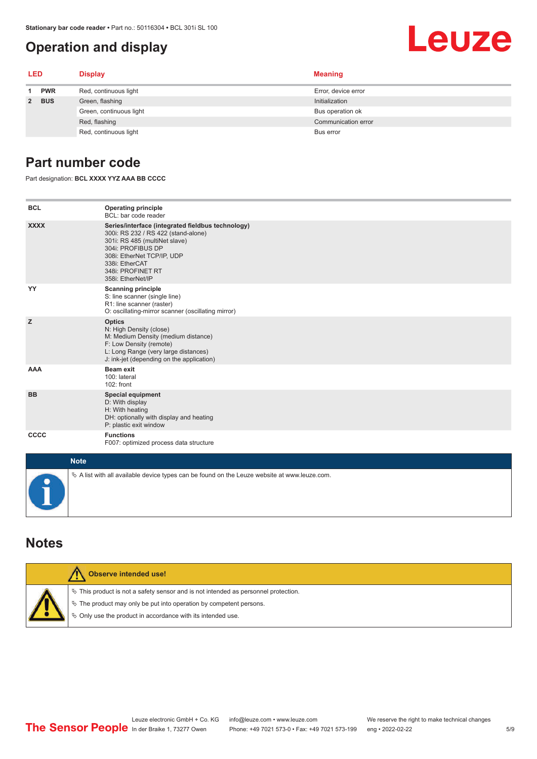## <span id="page-4-0"></span>**Operation and display**

# Leuze

| <b>LED</b> |            | <b>Display</b>          | <b>Meaning</b>      |
|------------|------------|-------------------------|---------------------|
|            | <b>PWR</b> | Red, continuous light   | Error, device error |
|            | 2 BUS      | Green, flashing         | Initialization      |
|            |            | Green, continuous light | Bus operation ok    |
|            |            | Red, flashing           | Communication error |
|            |            | Red, continuous light   | Bus error           |

#### **Part number code**

Part designation: **BCL XXXX YYZ AAA BB CCCC**

| <b>BCL</b>  | <b>Operating principle</b><br>BCL: bar code reader                                                                                                                                                                                       |
|-------------|------------------------------------------------------------------------------------------------------------------------------------------------------------------------------------------------------------------------------------------|
| <b>XXXX</b> | Series/interface (integrated fieldbus technology)<br>300i: RS 232 / RS 422 (stand-alone)<br>301i: RS 485 (multiNet slave)<br>304i: PROFIBUS DP<br>308i: EtherNet TCP/IP, UDP<br>338i: EtherCAT<br>348i: PROFINET RT<br>358i: EtherNet/IP |
| YY          | <b>Scanning principle</b><br>S: line scanner (single line)<br>R1: line scanner (raster)<br>O: oscillating-mirror scanner (oscillating mirror)                                                                                            |
| z           | <b>Optics</b><br>N: High Density (close)<br>M: Medium Density (medium distance)<br>F: Low Density (remote)<br>L: Long Range (very large distances)<br>J: ink-jet (depending on the application)                                          |
| <b>AAA</b>  | <b>Beam exit</b><br>100: lateral<br>$102:$ front                                                                                                                                                                                         |
| <b>BB</b>   | <b>Special equipment</b><br>D: With display<br>H: With heating<br>DH: optionally with display and heating<br>P: plastic exit window                                                                                                      |
| cccc        | <b>Functions</b><br>F007: optimized process data structure                                                                                                                                                                               |
| <b>Note</b> |                                                                                                                                                                                                                                          |
|             | $\&$ A list with all available device types can be found on the Leuze website at www.leuze.com.                                                                                                                                          |

#### **Notes**

| Observe intended use!                                                                                                                                                                                                         |
|-------------------------------------------------------------------------------------------------------------------------------------------------------------------------------------------------------------------------------|
| $\%$ This product is not a safety sensor and is not intended as personnel protection.<br>$\&$ The product may only be put into operation by competent persons.<br>♦ Only use the product in accordance with its intended use. |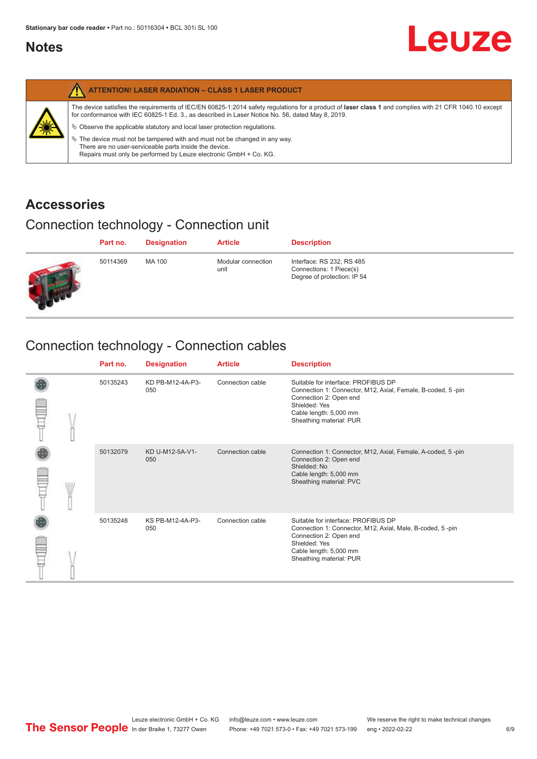#### <span id="page-5-0"></span>**Notes**

|   | <b>ATTENTION! LASER RADIATION - CLASS 1 LASER PRODUCT</b>                                                                                                                                                                                                                                                                                                                                                                                                                                                                                                   |
|---|-------------------------------------------------------------------------------------------------------------------------------------------------------------------------------------------------------------------------------------------------------------------------------------------------------------------------------------------------------------------------------------------------------------------------------------------------------------------------------------------------------------------------------------------------------------|
| 纂 | The device satisfies the requirements of IEC/EN 60825-1:2014 safety requlations for a product of laser class 1 and complies with 21 CFR 1040.10 except<br>for conformance with IEC 60825-1 Ed. 3., as described in Laser Notice No. 56, dated May 8, 2019.<br>$\&$ Observe the applicable statutory and local laser protection regulations.<br>$\%$ The device must not be tampered with and must not be changed in any way.<br>There are no user-serviceable parts inside the device.<br>Repairs must only be performed by Leuze electronic GmbH + Co. KG. |

### **Accessories**

## Connection technology - Connection unit

| Part no. | <b>Designation</b> | <b>Article</b>             | <b>Description</b>                                                                  |
|----------|--------------------|----------------------------|-------------------------------------------------------------------------------------|
| 50114369 | MA 100             | Modular connection<br>unit | Interface: RS 232, RS 485<br>Connections: 1 Piece(s)<br>Degree of protection: IP 54 |

# Connection technology - Connection cables

|   | Part no. | <b>Designation</b>      | <b>Article</b>   | <b>Description</b>                                                                                                                                                                                 |
|---|----------|-------------------------|------------------|----------------------------------------------------------------------------------------------------------------------------------------------------------------------------------------------------|
|   | 50135243 | KD PB-M12-4A-P3-<br>050 | Connection cable | Suitable for interface: PROFIBUS DP<br>Connection 1: Connector, M12, Axial, Female, B-coded, 5-pin<br>Connection 2: Open end<br>Shielded: Yes<br>Cable length: 5,000 mm<br>Sheathing material: PUR |
| W | 50132079 | KD U-M12-5A-V1-<br>050  | Connection cable | Connection 1: Connector, M12, Axial, Female, A-coded, 5-pin<br>Connection 2: Open end<br>Shielded: No<br>Cable length: 5,000 mm<br>Sheathing material: PVC                                         |
|   | 50135248 | KS PB-M12-4A-P3-<br>050 | Connection cable | Suitable for interface: PROFIBUS DP<br>Connection 1: Connector, M12, Axial, Male, B-coded, 5-pin<br>Connection 2: Open end<br>Shielded: Yes<br>Cable length: 5,000 mm<br>Sheathing material: PUR   |

**Leuze**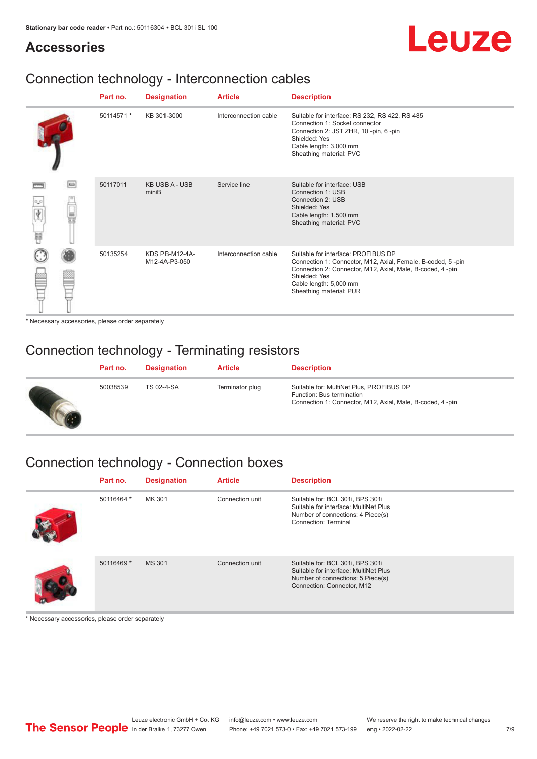#### **Accessories**

# Leuze

## Connection technology - Interconnection cables

|                       |        | Part no.   | <b>Designation</b>              | <b>Article</b>        | <b>Description</b>                                                                                                                                                                                                                    |
|-----------------------|--------|------------|---------------------------------|-----------------------|---------------------------------------------------------------------------------------------------------------------------------------------------------------------------------------------------------------------------------------|
|                       |        | 50114571 * | KB 301-3000                     | Interconnection cable | Suitable for interface: RS 232, RS 422, RS 485<br>Connection 1: Socket connector<br>Connection 2: JST ZHR, 10 -pin, 6 -pin<br>Shielded: Yes<br>Cable length: 3,000 mm<br>Sheathing material: PVC                                      |
| $\sigma^2\sigma$<br>肩 | $\Box$ | 50117011   | <b>KB USB A - USB</b><br>miniB  | Service line          | Suitable for interface: USB<br>Connection 1: USB<br>Connection 2: USB<br>Shielded: Yes<br>Cable length: 1,500 mm<br>Sheathing material: PVC                                                                                           |
|                       |        | 50135254   | KDS PB-M12-4A-<br>M12-4A-P3-050 | Interconnection cable | Suitable for interface: PROFIBUS DP<br>Connection 1: Connector, M12, Axial, Female, B-coded, 5-pin<br>Connection 2: Connector, M12, Axial, Male, B-coded, 4-pin<br>Shielded: Yes<br>Cable length: 5,000 mm<br>Sheathing material: PUR |

\* Necessary accessories, please order separately

## Connection technology - Terminating resistors

| Part no. | <b>Designation</b> | <b>Article</b>  | <b>Description</b>                                                                                                                 |
|----------|--------------------|-----------------|------------------------------------------------------------------------------------------------------------------------------------|
| 50038539 | <b>TS 02-4-SA</b>  | Terminator plug | Suitable for: MultiNet Plus, PROFIBUS DP<br>Function: Bus termination<br>Connection 1: Connector, M12, Axial, Male, B-coded, 4-pin |

# Connection technology - Connection boxes

| Part no.   | <b>Designation</b> | <b>Article</b>  | <b>Description</b>                                                                                                                           |
|------------|--------------------|-----------------|----------------------------------------------------------------------------------------------------------------------------------------------|
| 50116464 * | MK 301             | Connection unit | Suitable for: BCL 301i, BPS 301i<br>Suitable for interface: MultiNet Plus<br>Number of connections: 4 Piece(s)<br>Connection: Terminal       |
| 50116469 * | MS 301             | Connection unit | Suitable for: BCL 301i, BPS 301i<br>Suitable for interface: MultiNet Plus<br>Number of connections: 5 Piece(s)<br>Connection: Connector, M12 |

\* Necessary accessories, please order separately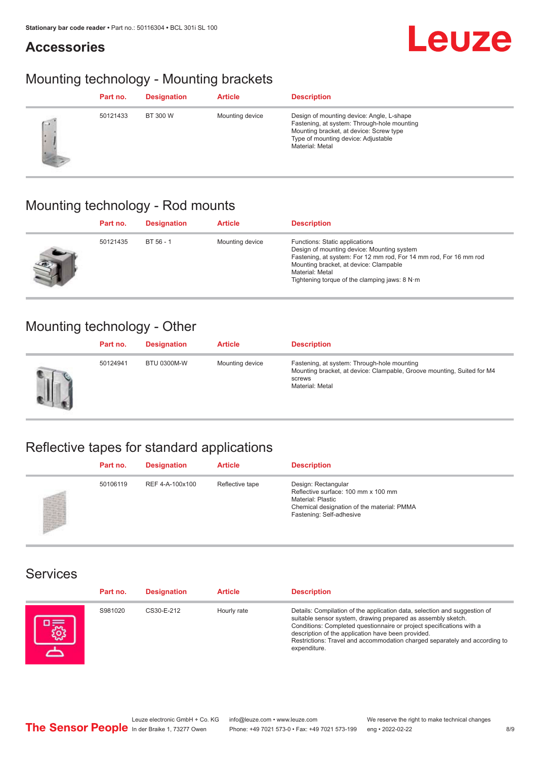### **Accessories**



### Mounting technology - Mounting brackets

|            | Part no. | <b>Designation</b> | <b>Article</b>  | <b>Description</b>                                                                                                                                                                            |
|------------|----------|--------------------|-----------------|-----------------------------------------------------------------------------------------------------------------------------------------------------------------------------------------------|
| <b>CON</b> | 50121433 | BT 300 W           | Mounting device | Design of mounting device: Angle, L-shape<br>Fastening, at system: Through-hole mounting<br>Mounting bracket, at device: Screw type<br>Type of mounting device: Adjustable<br>Material: Metal |

## Mounting technology - Rod mounts

| Part no. | <b>Designation</b> | <b>Article</b>  | <b>Description</b>                                                                                                                                                                                                                                                |
|----------|--------------------|-----------------|-------------------------------------------------------------------------------------------------------------------------------------------------------------------------------------------------------------------------------------------------------------------|
| 50121435 | BT 56 - 1          | Mounting device | Functions: Static applications<br>Design of mounting device: Mounting system<br>Fastening, at system: For 12 mm rod, For 14 mm rod, For 16 mm rod<br>Mounting bracket, at device: Clampable<br>Material: Metal<br>Tightening torque of the clamping jaws: $8 N·m$ |

### Mounting technology - Other

|   | Part no. | <b>Designation</b> | <b>Article</b>  | <b>Description</b>                                                                                                                                 |
|---|----------|--------------------|-----------------|----------------------------------------------------------------------------------------------------------------------------------------------------|
| Ш | 50124941 | BTU 0300M-W        | Mounting device | Fastening, at system: Through-hole mounting<br>Mounting bracket, at device: Clampable, Groove mounting, Suited for M4<br>screws<br>Material: Metal |

# Reflective tapes for standard applications

| Part no. | <b>Designation</b> | <b>Article</b>  | <b>Description</b>                                                                                                                                               |
|----------|--------------------|-----------------|------------------------------------------------------------------------------------------------------------------------------------------------------------------|
| 50106119 | REF 4-A-100x100    | Reflective tape | Design: Rectangular<br>Reflective surface: 100 mm x 100 mm<br><b>Material: Plastic</b><br>Chemical designation of the material: PMMA<br>Fastening: Self-adhesive |

#### Services

| Part no. | <b>Designation</b> | <b>Article</b> | <b>Description</b>                                                                                                                                                                                                                                                                                                                                                    |
|----------|--------------------|----------------|-----------------------------------------------------------------------------------------------------------------------------------------------------------------------------------------------------------------------------------------------------------------------------------------------------------------------------------------------------------------------|
| S981020  | CS30-E-212         | Hourly rate    | Details: Compilation of the application data, selection and suggestion of<br>suitable sensor system, drawing prepared as assembly sketch.<br>Conditions: Completed questionnaire or project specifications with a<br>description of the application have been provided.<br>Restrictions: Travel and accommodation charged separately and according to<br>expenditure. |